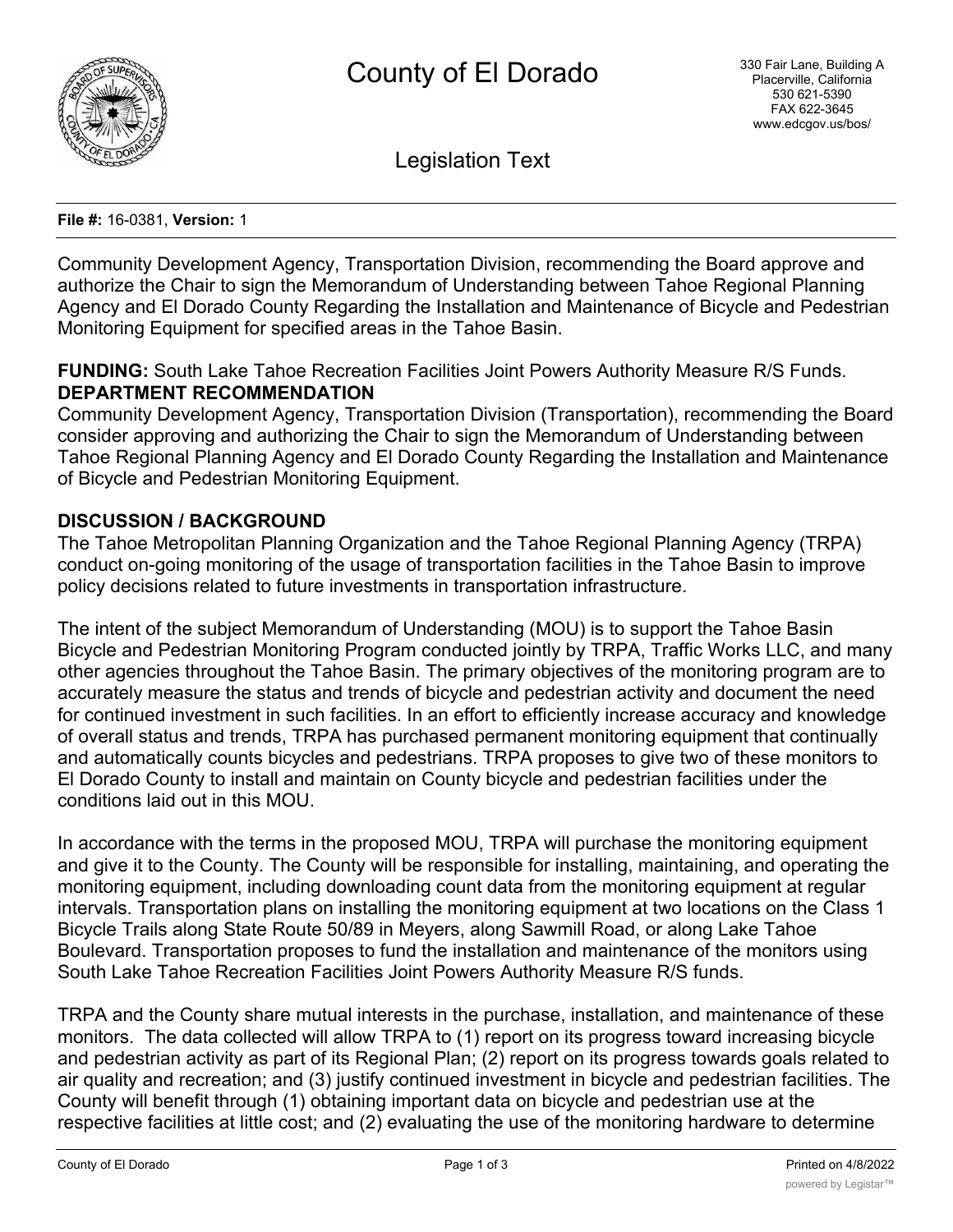

Legislation Text

**File #:** 16-0381, **Version:** 1

Community Development Agency, Transportation Division, recommending the Board approve and authorize the Chair to sign the Memorandum of Understanding between Tahoe Regional Planning Agency and El Dorado County Regarding the Installation and Maintenance of Bicycle and Pedestrian Monitoring Equipment for specified areas in the Tahoe Basin.

## **FUNDING:** South Lake Tahoe Recreation Facilities Joint Powers Authority Measure R/S Funds. **DEPARTMENT RECOMMENDATION**

Community Development Agency, Transportation Division (Transportation), recommending the Board consider approving and authorizing the Chair to sign the Memorandum of Understanding between Tahoe Regional Planning Agency and El Dorado County Regarding the Installation and Maintenance of Bicycle and Pedestrian Monitoring Equipment.

### **DISCUSSION / BACKGROUND**

The Tahoe Metropolitan Planning Organization and the Tahoe Regional Planning Agency (TRPA) conduct on-going monitoring of the usage of transportation facilities in the Tahoe Basin to improve policy decisions related to future investments in transportation infrastructure.

The intent of the subject Memorandum of Understanding (MOU) is to support the Tahoe Basin Bicycle and Pedestrian Monitoring Program conducted jointly by TRPA, Traffic Works LLC, and many other agencies throughout the Tahoe Basin. The primary objectives of the monitoring program are to accurately measure the status and trends of bicycle and pedestrian activity and document the need for continued investment in such facilities. In an effort to efficiently increase accuracy and knowledge of overall status and trends, TRPA has purchased permanent monitoring equipment that continually and automatically counts bicycles and pedestrians. TRPA proposes to give two of these monitors to El Dorado County to install and maintain on County bicycle and pedestrian facilities under the conditions laid out in this MOU.

In accordance with the terms in the proposed MOU, TRPA will purchase the monitoring equipment and give it to the County. The County will be responsible for installing, maintaining, and operating the monitoring equipment, including downloading count data from the monitoring equipment at regular intervals. Transportation plans on installing the monitoring equipment at two locations on the Class 1 Bicycle Trails along State Route 50/89 in Meyers, along Sawmill Road, or along Lake Tahoe Boulevard. Transportation proposes to fund the installation and maintenance of the monitors using South Lake Tahoe Recreation Facilities Joint Powers Authority Measure R/S funds.

TRPA and the County share mutual interests in the purchase, installation, and maintenance of these monitors. The data collected will allow TRPA to (1) report on its progress toward increasing bicycle and pedestrian activity as part of its Regional Plan; (2) report on its progress towards goals related to air quality and recreation; and (3) justify continued investment in bicycle and pedestrian facilities. The County will benefit through (1) obtaining important data on bicycle and pedestrian use at the respective facilities at little cost; and (2) evaluating the use of the monitoring hardware to determine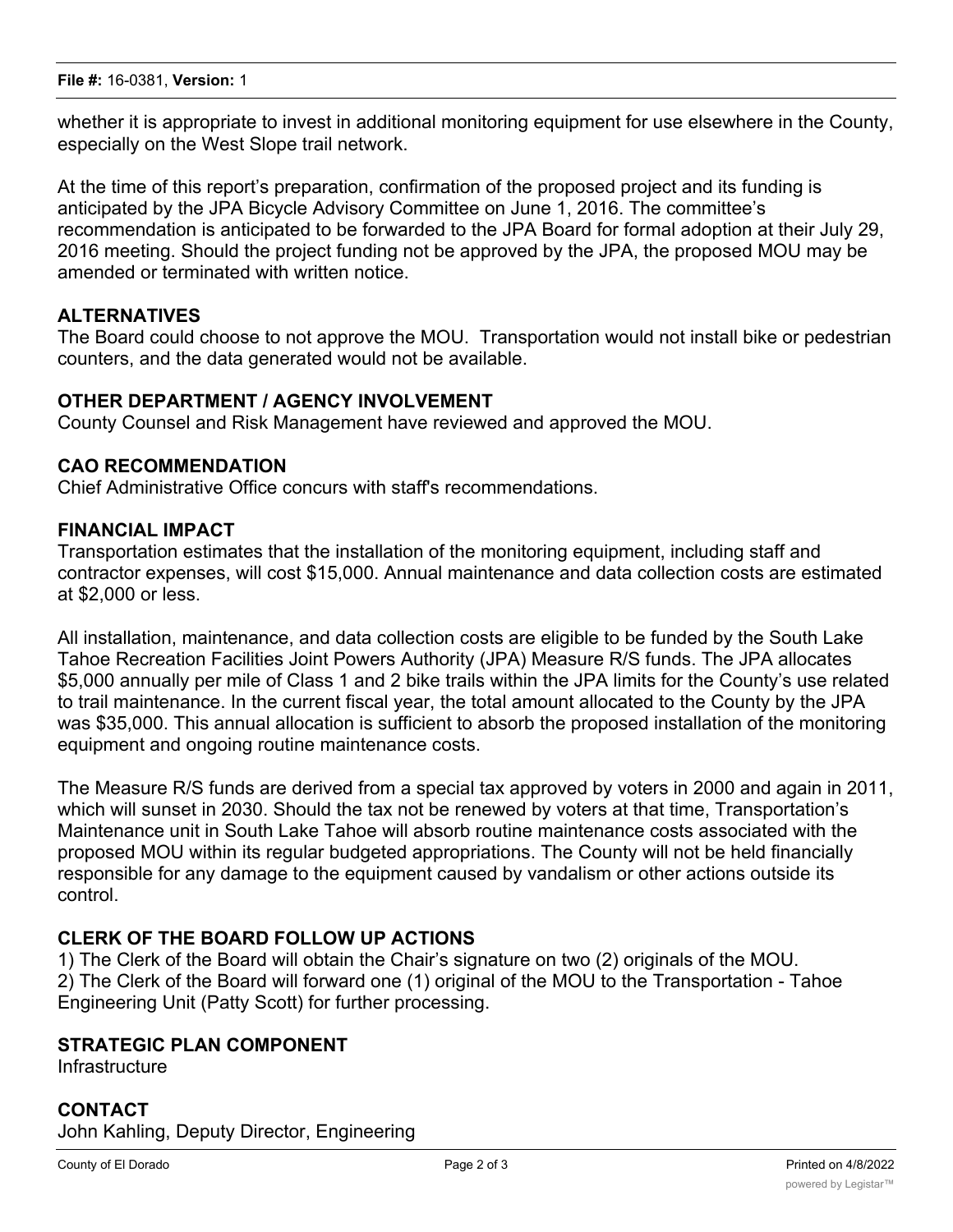whether it is appropriate to invest in additional monitoring equipment for use elsewhere in the County, especially on the West Slope trail network.

At the time of this report's preparation, confirmation of the proposed project and its funding is anticipated by the JPA Bicycle Advisory Committee on June 1, 2016. The committee's recommendation is anticipated to be forwarded to the JPA Board for formal adoption at their July 29, 2016 meeting. Should the project funding not be approved by the JPA, the proposed MOU may be amended or terminated with written notice.

### **ALTERNATIVES**

The Board could choose to not approve the MOU. Transportation would not install bike or pedestrian counters, and the data generated would not be available.

### **OTHER DEPARTMENT / AGENCY INVOLVEMENT**

County Counsel and Risk Management have reviewed and approved the MOU.

### **CAO RECOMMENDATION**

Chief Administrative Office concurs with staff's recommendations.

#### **FINANCIAL IMPACT**

Transportation estimates that the installation of the monitoring equipment, including staff and contractor expenses, will cost \$15,000. Annual maintenance and data collection costs are estimated at \$2,000 or less.

All installation, maintenance, and data collection costs are eligible to be funded by the South Lake Tahoe Recreation Facilities Joint Powers Authority (JPA) Measure R/S funds. The JPA allocates \$5,000 annually per mile of Class 1 and 2 bike trails within the JPA limits for the County's use related to trail maintenance. In the current fiscal year, the total amount allocated to the County by the JPA was \$35,000. This annual allocation is sufficient to absorb the proposed installation of the monitoring equipment and ongoing routine maintenance costs.

The Measure R/S funds are derived from a special tax approved by voters in 2000 and again in 2011, which will sunset in 2030. Should the tax not be renewed by voters at that time, Transportation's Maintenance unit in South Lake Tahoe will absorb routine maintenance costs associated with the proposed MOU within its regular budgeted appropriations. The County will not be held financially responsible for any damage to the equipment caused by vandalism or other actions outside its control.

### **CLERK OF THE BOARD FOLLOW UP ACTIONS**

1) The Clerk of the Board will obtain the Chair's signature on two (2) originals of the MOU. 2) The Clerk of the Board will forward one (1) original of the MOU to the Transportation - Tahoe Engineering Unit (Patty Scott) for further processing.

# **STRATEGIC PLAN COMPONENT**

**Infrastructure** 

# **CONTACT** John Kahling, Deputy Director, Engineering